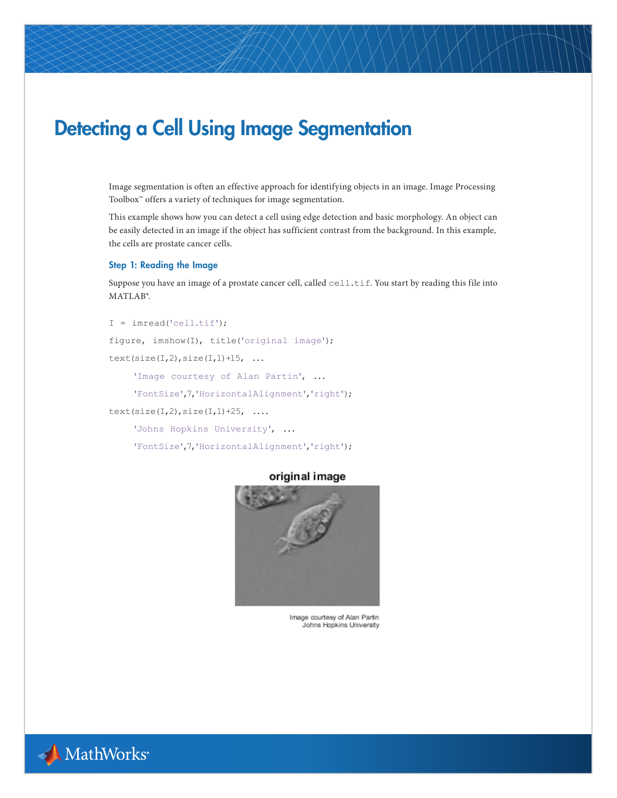# Detecting a Cell Using Image Segmentation

Image segmentation is often an effective approach for identifying objects in an image. Image Processing Toolbox™ offers a variety of techniques for image segmentation.

This example shows how you can detect a cell using edge detection and basic morphology. An object can be easily detected in an image if the object has sufficient contrast from the background. In this example, the cells are prostate cancer cells.

# Step 1: Reading the Image

Suppose you have an image of a prostate cancer cell, called cell.tif. You start by reading this file into MATLAB®.

```
I = \text{imread}('cell.tif');figure, imshow(I), title('original image');
text(size(I,2),size(I,1)+15, ...
```
'Image courtesy of Alan Partin', ...

```
 'FontSize',7,'HorizontalAlignment','right');
```
 $text(size(I,2),size(I,1)+25, ...$ 

```
 'Johns Hopkins University', ...
```
'FontSize',7,'HorizontalAlignment','right');



# original image

Image courtesy of Alan Partin Johns Hopkins University

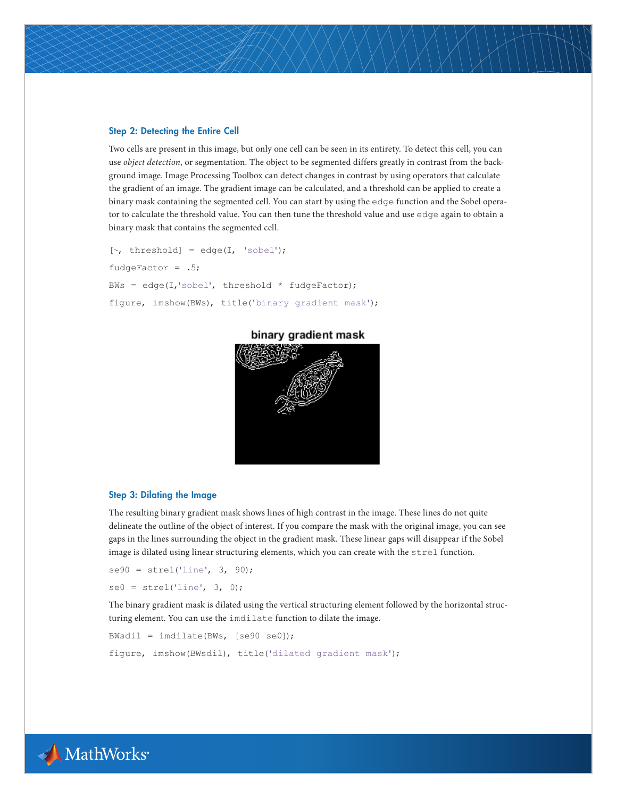#### Step 2: Detecting the Entire Cell

Two cells are present in this image, but only one cell can be seen in its entirety. To detect this cell, you can use *object detection*, or segmentation. The object to be segmented differs greatly in contrast from the background image. Image Processing Toolbox can detect changes in contrast by using operators that calculate the gradient of an image. The gradient image can be calculated, and a threshold can be applied to create a binary mask containing the segmented cell. You can start by using the edge function and the Sobel operator to calculate the threshold value. You can then tune the threshold value and use edge again to obtain a binary mask that contains the segmented cell.

```
[\sim, threshold] = edge(I, 'sobel');
fudgeFactor = .5;
BWs = edge(I,'sobel', threshold * fudgeFactor);
figure, imshow(BWs), title('binary gradient mask');
```


# binary gradient mask

#### Step 3: Dilating the Image

The resulting binary gradient mask shows lines of high contrast in the image. These lines do not quite delineate the outline of the object of interest. If you compare the mask with the original image, you can see gaps in the lines surrounding the object in the gradient mask. These linear gaps will disappear if the Sobel image is dilated using linear structuring elements, which you can create with the strel function.

```
se90 = stre1('line', 3, 90);se0 = stre1('line', 3, 0);
```
The binary gradient mask is dilated using the vertical structuring element followed by the horizontal structuring element. You can use the imdilate function to dilate the image.

```
BWsdil = imdilate(BWs, [se90 se0]);
figure, imshow(BWsdil), title('dilated gradient mask');
```
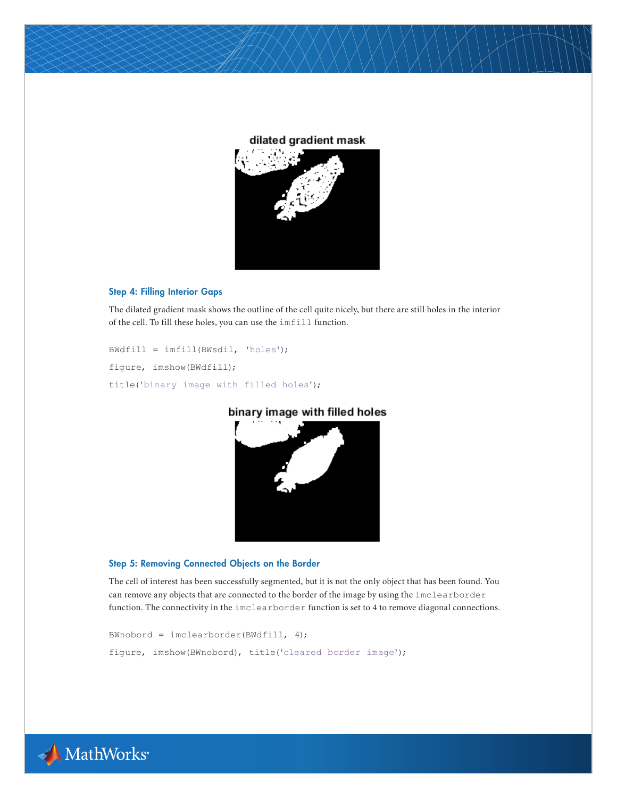# dilated gradient mask



#### Step 4: Filling Interior Gaps

The dilated gradient mask shows the outline of the cell quite nicely, but there are still holes in the interior of the cell. To fill these holes, you can use the imfill function.

```
BWdfill = imfill(BWsdil, 'holes');
figure, imshow(BWdfill);
title('binary image with filled holes');
```


binary image with filled holes

# Step 5: Removing Connected Objects on the Border

The cell of interest has been successfully segmented, but it is not the only object that has been found. You can remove any objects that are connected to the border of the image by using the imclearborder function. The connectivity in the imclearborder function is set to 4 to remove diagonal connections.

```
BWnobord = imclearborder(BWdfill, 4);
figure, imshow(BWnobord), title('cleared border image');
```
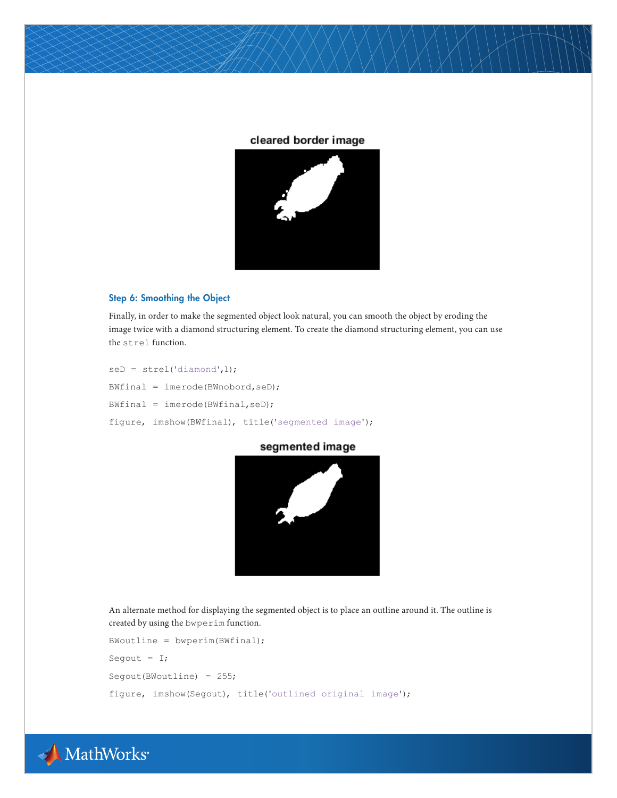# cleared border image



# Step 6: Smoothing the Object

Finally, in order to make the segmented object look natural, you can smooth the object by eroding the image twice with a diamond structuring element. To create the diamond structuring element, you can use the strel function.

```
seD = stre1('diamond',1);BWfinal = imerode(BWnobord,seD);
BWfinal = imerode(BWfinal,seD);
figure, imshow(BWfinal), title('segmented image');
```
segmented image



An alternate method for displaying the segmented object is to place an outline around it. The outline is created by using the bwperim function.

```
BWoutline = bwperim(BWfinal);
Segout = I;
Segout(BWoutline) = 255;
figure, imshow(Segout), title('outlined original image');
```